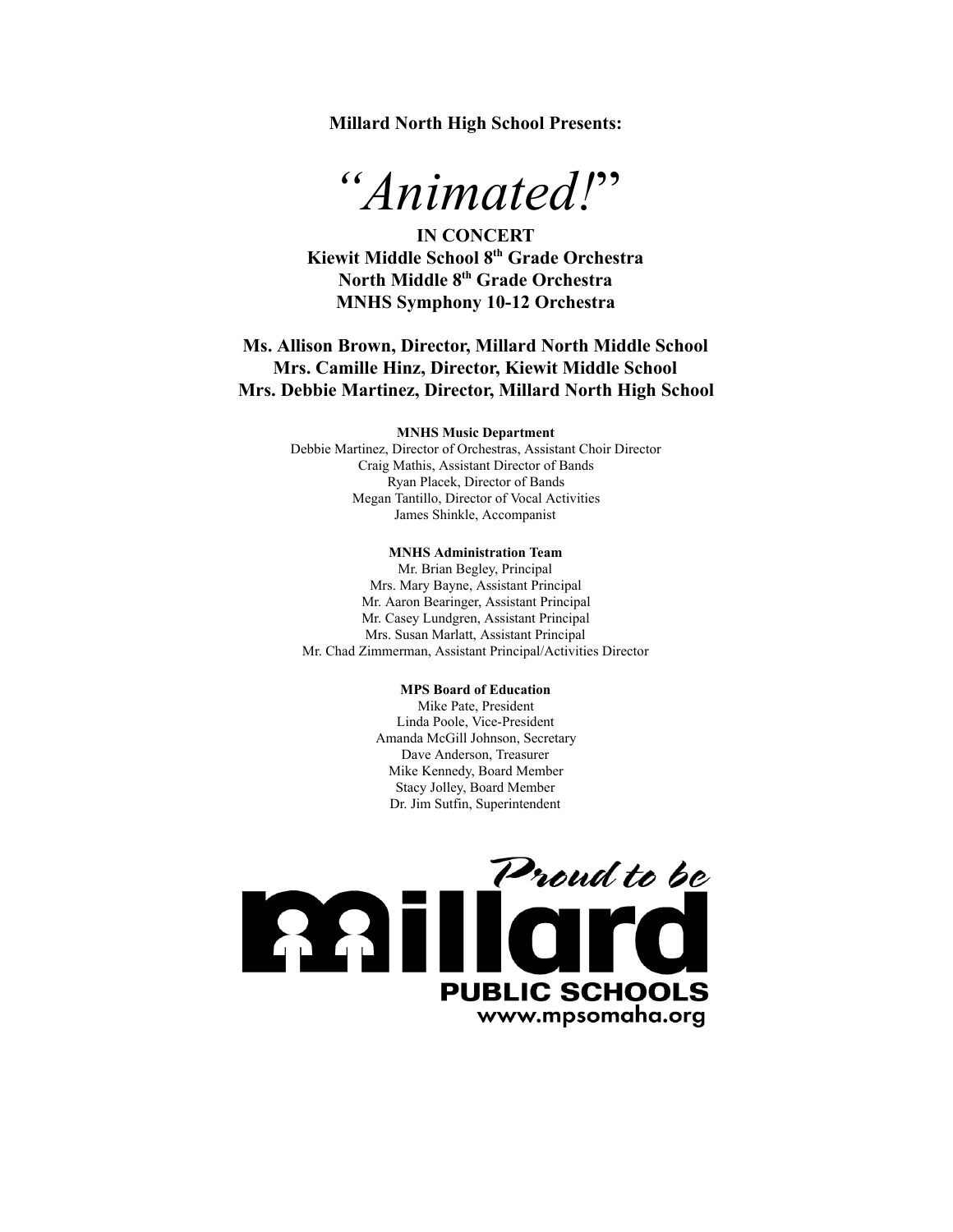**Millard North High School Presents:**



**IN CONCERT Kiewit Middle School 8 th Grade Orchestra North Middle 8 th Grade Orchestra MNHS Symphony 10-12 Orchestra** 

**Ms. Allison Brown, Director, Millard North Middle School Mrs. Camille Hinz, Director, Kiewit Middle School Mrs. Debbie Martinez, Director, Millard North High School**

#### **MNHS Music Department**

Debbie Martinez, Director of Orchestras, Assistant Choir Director Craig Mathis, Assistant Director of Bands Ryan Placek, Director of Bands Megan Tantillo, Director of Vocal Activities James Shinkle, Accompanist

#### **MNHS Administration Team**

Mr. Brian Begley, Principal Mrs. Mary Bayne, Assistant Principal Mr. Aaron Bearinger, Assistant Principal Mr. Casey Lundgren, Assistant Principal Mrs. Susan Marlatt, Assistant Principal Mr. Chad Zimmerman, Assistant Principal/Activities Director

#### **MPS Board of Education**

Mike Pate, President Linda Poole, Vice-President Amanda McGill Johnson, Secretary Dave Anderson, Treasurer Mike Kennedy, Board Member Stacy Jolley, Board Member Dr. Jim Sutfin, Superintendent

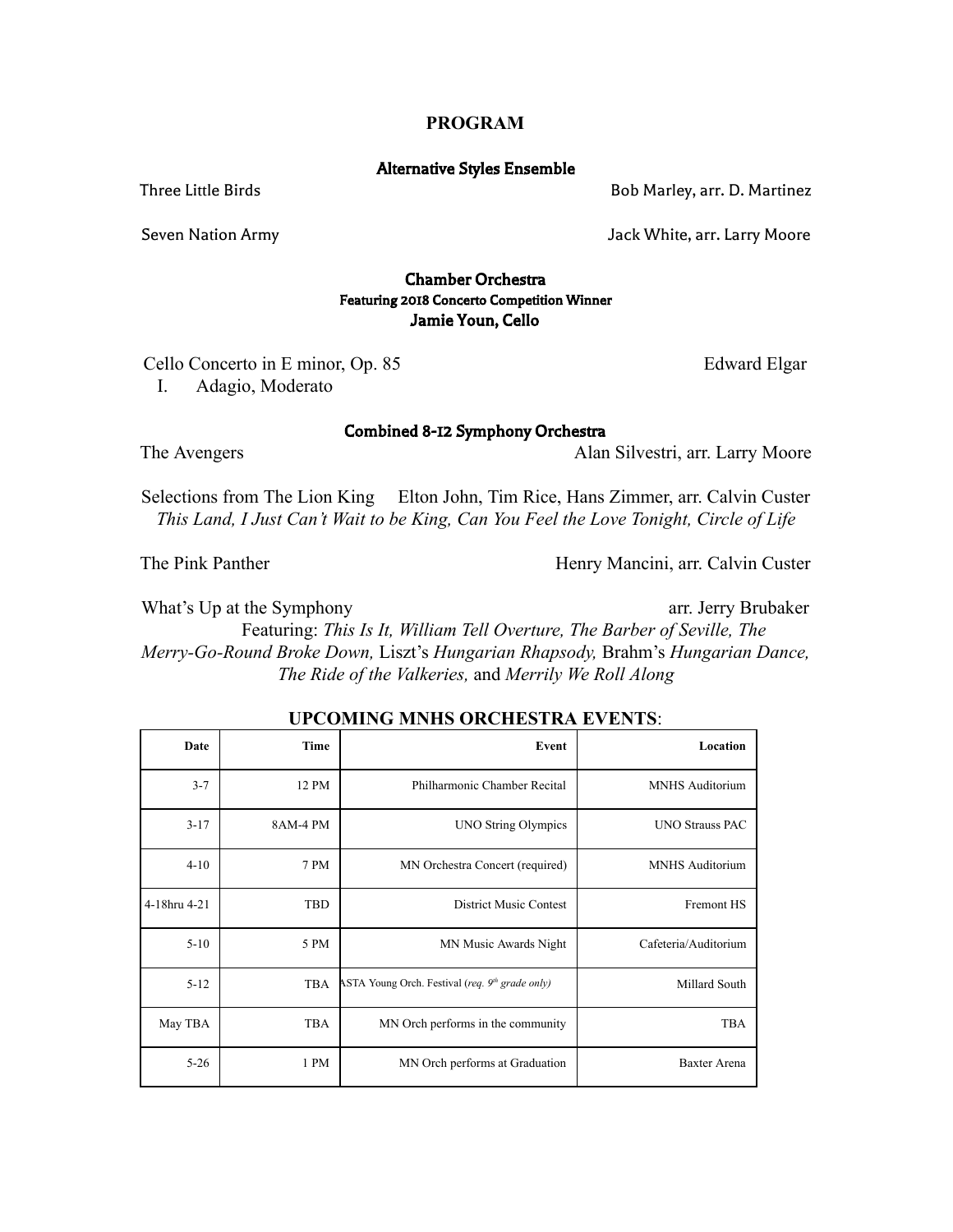## **PROGRAM**

## Alternative Styles Ensemble

Three Little Birds **Bob Marley, arr. D. Martinez** 

Seven Nation Army Jack White, arr. Larry Moore

# Chamber Orchestra Featuring 2018 Concerto Competition Winner Jamie Youn, Cello

Cello Concerto in E minor, Op. 85 Edward Elgar

I. Adagio, Moderato

Combined 8-12 Symphony Orchestra

The Avengers Alan Silvestri, arr. Larry Moore

Selections from The Lion King Elton John, Tim Rice, Hans Zimmer, arr. Calvin Custer *This Land, I Just Can't Wait to be King, Can You Feel the Love Tonight, Circle of Life*

The Pink Panther Henry Mancini, arr. Calvin Custer

What's Up at the Symphony arr. Jerry Brubaker

Featuring: *This Is It, William Tell Overture, The Barber of Seville, The Merry-Go-Round Broke Down, Liszt's Hungarian Rhapsody, Brahm's Hungarian Dance, The Ride of the Valkeries,* and  *Merrily We Roll Along*

| Date         | Time       | Event                                             | Location               |
|--------------|------------|---------------------------------------------------|------------------------|
| $3 - 7$      | 12 PM      | Philharmonic Chamber Recital                      | <b>MNHS</b> Auditorium |
| $3 - 17$     | 8AM-4 PM   | <b>UNO String Olympics</b>                        | <b>UNO Strauss PAC</b> |
| $4 - 10$     | 7 PM       | MN Orchestra Concert (required)                   | <b>MNHS</b> Auditorium |
| 4-18hru 4-21 | <b>TBD</b> | <b>District Music Contest</b>                     | <b>Fremont HS</b>      |
| $5-10$       | 5 PM       | MN Music Awards Night                             | Cafeteria/Auditorium   |
| $5 - 12$     | <b>TBA</b> | ASTA Young Orch. Festival (req. $9th$ grade only) | Millard South          |
| May TBA      | <b>TBA</b> | MN Orch performs in the community                 | <b>TBA</b>             |
| $5 - 26$     | 1 PM       | MN Orch performs at Graduation                    | Baxter Arena           |

# **UPCOMING MNHS ORCHESTRA EVENTS:**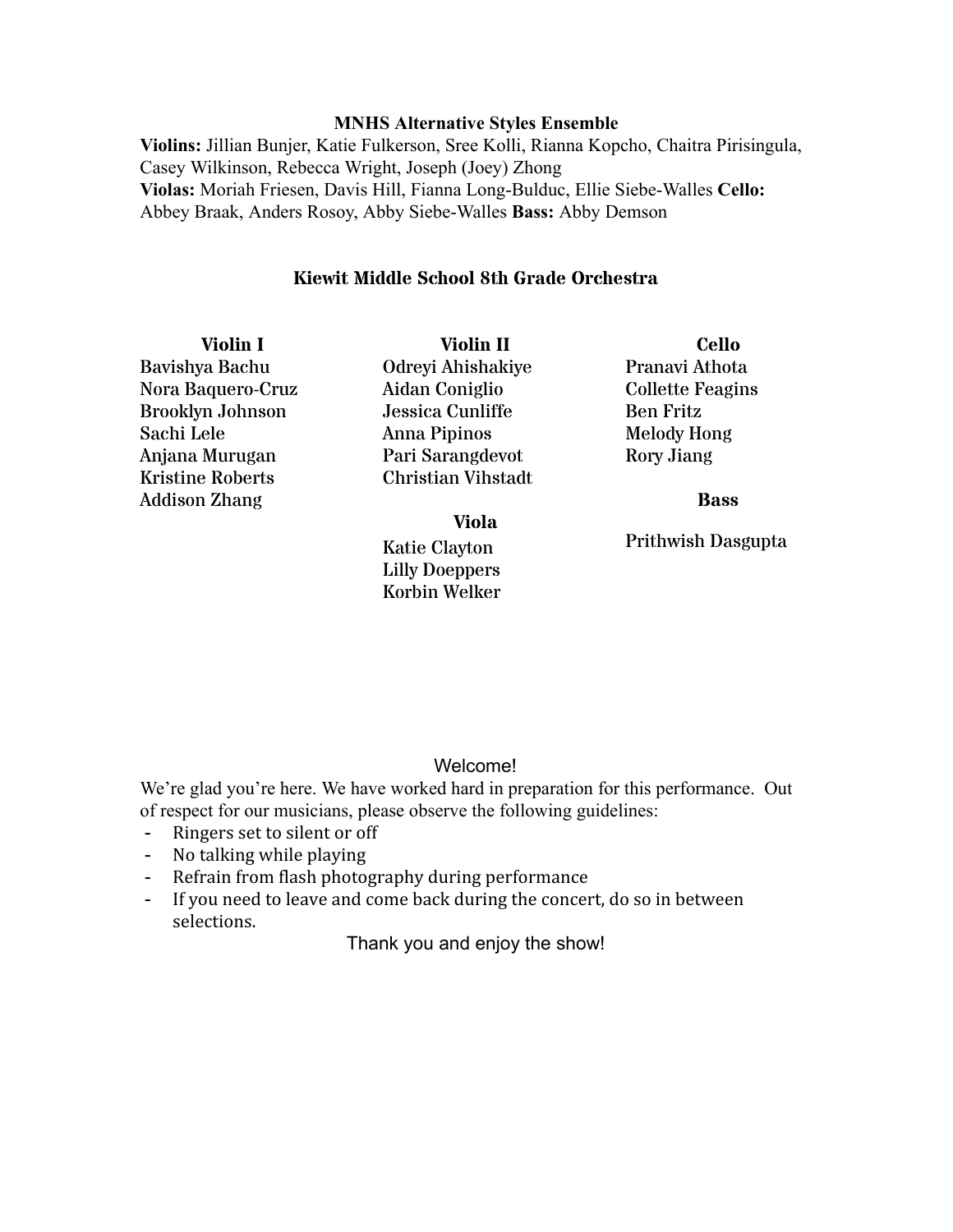# **MNHS Alternative Styles Ensemble**

**Violins:** Jillian Bunjer, Katie Fulkerson, Sree Kolli, Rianna Kopcho, Chaitra Pirisingula, Casey Wilkinson, Rebecca Wright, Joseph (Joey) Zhong **Violas:** Moriah Friesen, Davis Hill, Fianna Long-Bulduc, Ellie Siebe-Walles Cello: Abbey Braak, Anders Rosoy, Abby Siebe-Walles Bass: Abby Demson

# **Kiewit Middle School 8th Grade Orchestra**

**Violin I** Bavishya Bachu Nora Baquero-Cruz Brooklyn Johnson Sachi Lele Anjana Murugan Kristine Roberts Addison Zhang

**Violin II** Odreyi Ahishakiye Aidan Coniglio Jessica Cunliffe Anna Pipinos Pari Sarangdevot Christian Vihstadt

**Viola** Katie Clayton Lilly Doeppers Korbin Welker

**Cello** Pranavi Athota Collette Feagins Ben Fritz Melody Hong Rory Jiang

**Bass**

Prithwish Dasgupta

# Welcome!

We're glad you're here. We have worked hard in preparation for this performance. Out of respect for our musicians, please observe the following guidelines:

- Ringers set to silent or off
- No talking while playing
- Refrain from flash photography during performance
- If you need to leave and come back during the concert, do so in between selections.

Thank you and enjoy the show!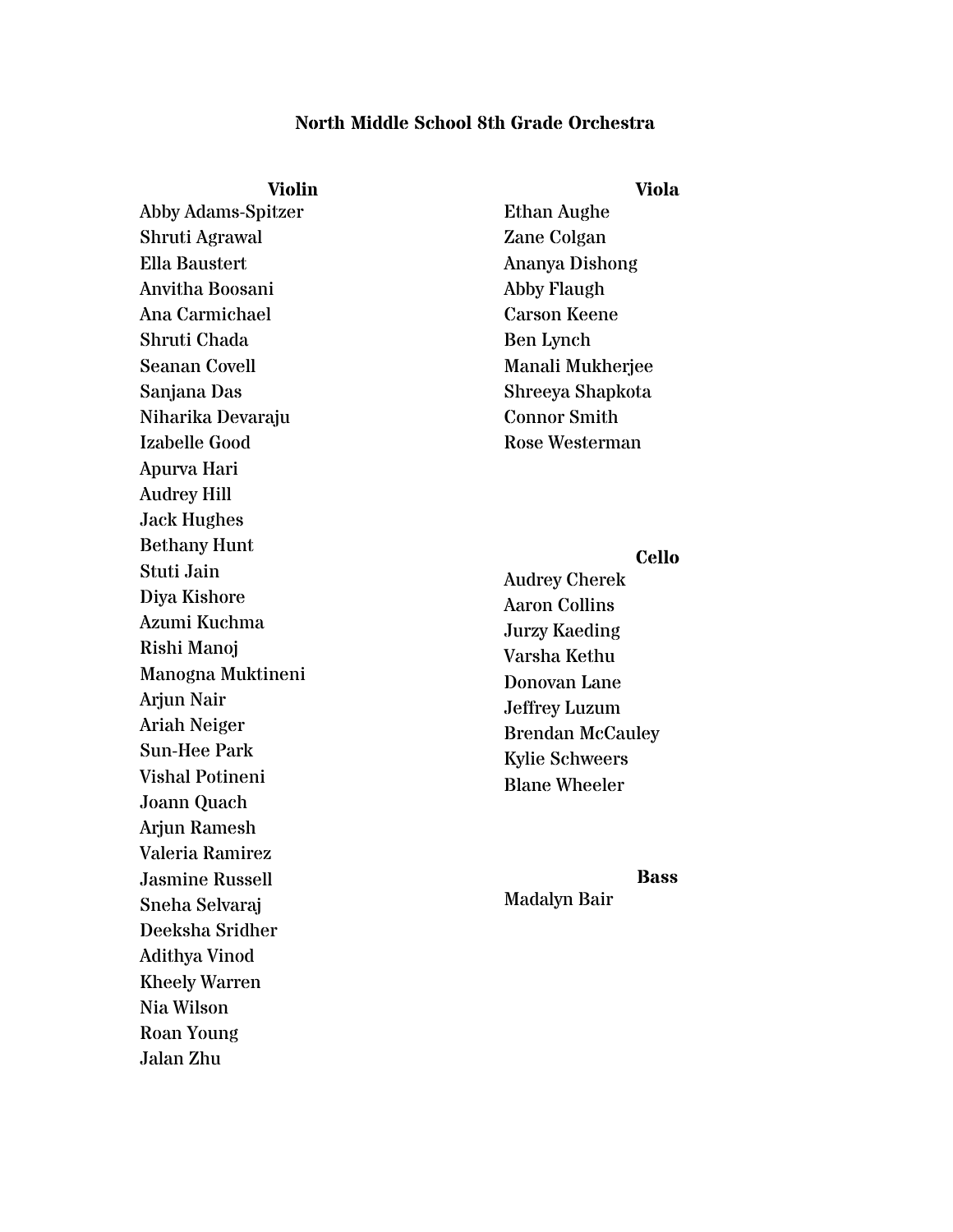# **North Middle School 8th Grade Orchestra**

## **Violin**

Abby Adams-Spitzer Shruti Agrawal Ella Baustert Anvitha Boosani Ana Carmichael Shruti Chada Seanan Covell Sanjana Das Niharika Devaraju Izabelle Good Apurva Hari Audrey Hill Jack Hughes Bethany Hunt Stuti Jain Diya Kishore Azumi Kuchma Rishi Manoj Manogna Muktineni Arjun Nair Ariah Neiger Sun-Hee Park Vishal Potineni Joann Quach Arjun Ramesh Valeria Ramirez Jasmine Russell Sneha Selvaraj Deeksha Sridher Adithya Vinod Kheely Warren Nia Wilson Roan Young Jalan Zhu

Ethan Aughe Zane Colgan Ananya Dishong Abby Flaugh Carson Keene Ben Lynch Manali Mukherjee Shreeya Shapkota Connor Smith Rose Westerman

# **Cello**

Audrey Cherek Aaron Collins Jurzy Kaeding Varsha Kethu Donovan Lane Jeffrey Luzum Brendan McCauley Kylie Schweers Blane Wheeler

# **Bass**

Madalyn Bair

# **Viola**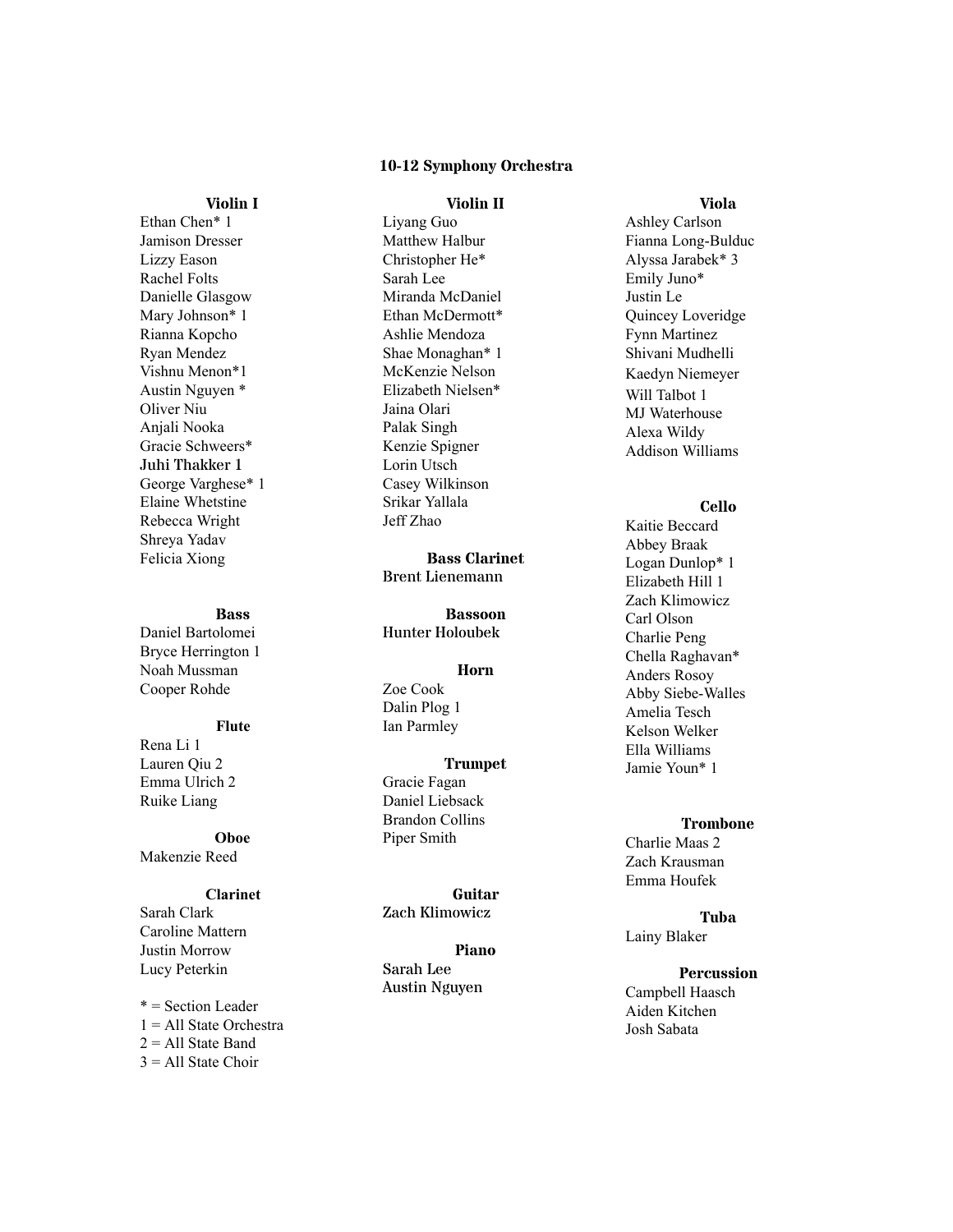## **1 0 - 1 2 S ym p h o n y O r c h e s t r a**

## **Vi o l i n I**

Ethan Chen\* 1 Jamison Dresser Lizzy Eason Rachel Folts Danielle Glasgow Mary Johnson\* 1 Rianna Kopcho Ryan Mendez Vishnu Menon\*1 Austin Nguyen \* Oliver Niu Anjali Nooka Gracie Schweers\* Juhi Thakker 1 George Varghese\* 1 Elaine Whetstine Rebecca Wright Shreya Yadav Felicia Xiong

## **B a s s**

Daniel Bartolomei Bryce Herrington 1 Noah Mussman Cooper Rohde

## **Fl u t e**

Rena Li 1 Lauren Qiu 2 Emma Ulrich 2 Ruike Liang

## **O b o e** Makenzie Reed

#### **Clarinet**

Sarah Clark Caroline Mattern Justin Morrow Lucy Peterkin

\* = Section Leader 1 = All State Orchestra 2 = All State Band  $3 =$  All State Choir

## **Vi o l i n I I**

Liyang Guo Matthew Halbur Christopher He\* Sarah Lee Miranda McDaniel Ethan McDermott\* Ashlie Mendoza Shae Monaghan\* 1 McKenzie Nelson Elizabeth Nielsen\* Jaina Olari Palak Singh Kenzie Spigner Lorin Utsch Casey Wilkinson Srikar Yallala J e ff Z h a o

**Ba s s C l a r i n e t** Brent Lienemann

**B a s s o o n** Hunter Holoubek

#### **H o r n**

## Zoe Cook Dalin Plog 1

# Ian Parmley

**Tr u m p e t** Gracie Fagan Daniel Liebsack Brandon Collins Piper Smith

**G u i t a r** Zach Klimowicz

**P i a n o** S a r a h Lee Austin Nguyen

## **Vi o l a**

Ashley Carlson Fianna Long-Bulduc Alyssa Jarabek\* 3 Emily Juno\* Justin Le Quincey Loveridge Fynn Martinez Shivani Mudhelli Kaedyn Niemeyer Will Talbot 1 MJ Waterhouse Alexa Wildy Addison Williams

#### **C e l l o**

Kaitie Beccard Abbey Braak Logan Dunlop\* 1 Elizabeth Hill 1 Zach Klimowicz Carl Olson Charlie Peng Chella Raghavan\* Anders Rosoy Abby Siebe-Walles Amelia Tesch Kelson Welker Ella Williams Jamie Youn\* 1

# **T r o m b o n e**

Charlie Maas 2 Zach Krausman E m m a H o u fe k

# **Tu b a**

Lainy Blaker

## **P e r c u s s i o n**

Campbell Haasch Aiden Kitchen Josh Sabata